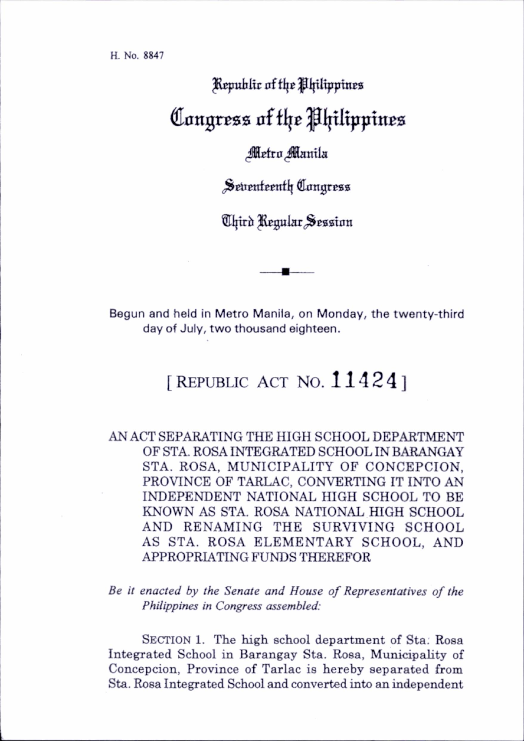## Republic of the Philippines Congress of flje pijtltpptnes

## Metro Manila

Seventeenth Congress

Chird Regular Session

Begun and held in Metro Manila, on Monday, the twenty-third day of July, two thousand eighteen.

## [REPUBLIC ACT NO.  $11424$ ]

AN ACT SEPARATING THE HIGH SCHOOL DEPARTMENT OF STA. ROSA INTEGRATED SCHOOL IN BARANGAY STA. ROSA, MUNICIPALITY OF CONCEPCION, PROVINCE OF TARLAC, CONVERTING IT INTO AN INDEPENDENT NATIONAL HIGH SCHOOL TO BE KNOWN AS STA. ROSA NATIONAL HIGH SCHOOL AND RENAMING THE SURVIVING SCHOOL AS STA. ROSA ELEMENTARY SCHOOL, AND APPROPRIATING FUNDS THEREFOR

Be it enacted by the Senate and House of Representatives of the Philippines in Congress assembled:

SECTION 1. The high school department of Sta. Rosa Integrated School in Barangay Sta. Rosa, Municipality of Concepcion, Province of Tarlac is hereby separated from Sta. Rosa Integrated School and converted into an independent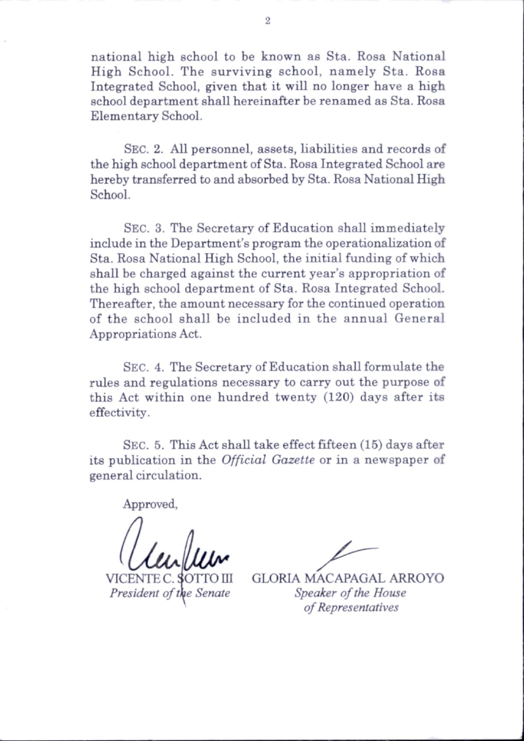national high school to be known as Sta. Rosa National High School. The surviving school, namely Sta. Rosa Integrated School, given that it will no longer have a high school department shall hereinafter be renamed as Sta. Rosa Elementary School.

Sec. 2. All personnel, assets, liabilities and records of the high school department of Sta. Rosa Integrated School are hereby transferred to and absorbed by Sta. Rosa National High School.

Sec. 3. The Secretary of Education shall immediately include in the Department's program the operationalization of Sta. Rosa National High School, the initial funding of which shall be charged against the current year's appropriation of the high school department of Sta. Rosa Integrated School. Thereafter, the amount necessary for the continued operation of the school shall be included in the annual General Appropriations Act.

Sec. 4. The Secretary of Education shall formulate the rules and regulations necessary to carry out the purpose of this Act within one hundred twenty  $(120)$  days after its effectivity.

Sec. 5. This Act shall take effect fifteen (15) days after its publication in the Official Gazette or in a newspaper of general circulation.

Approved,

VICENTE C President of the Senate

GLORIA MACAPAGAL ARROYO Speaker of the House of Representatives